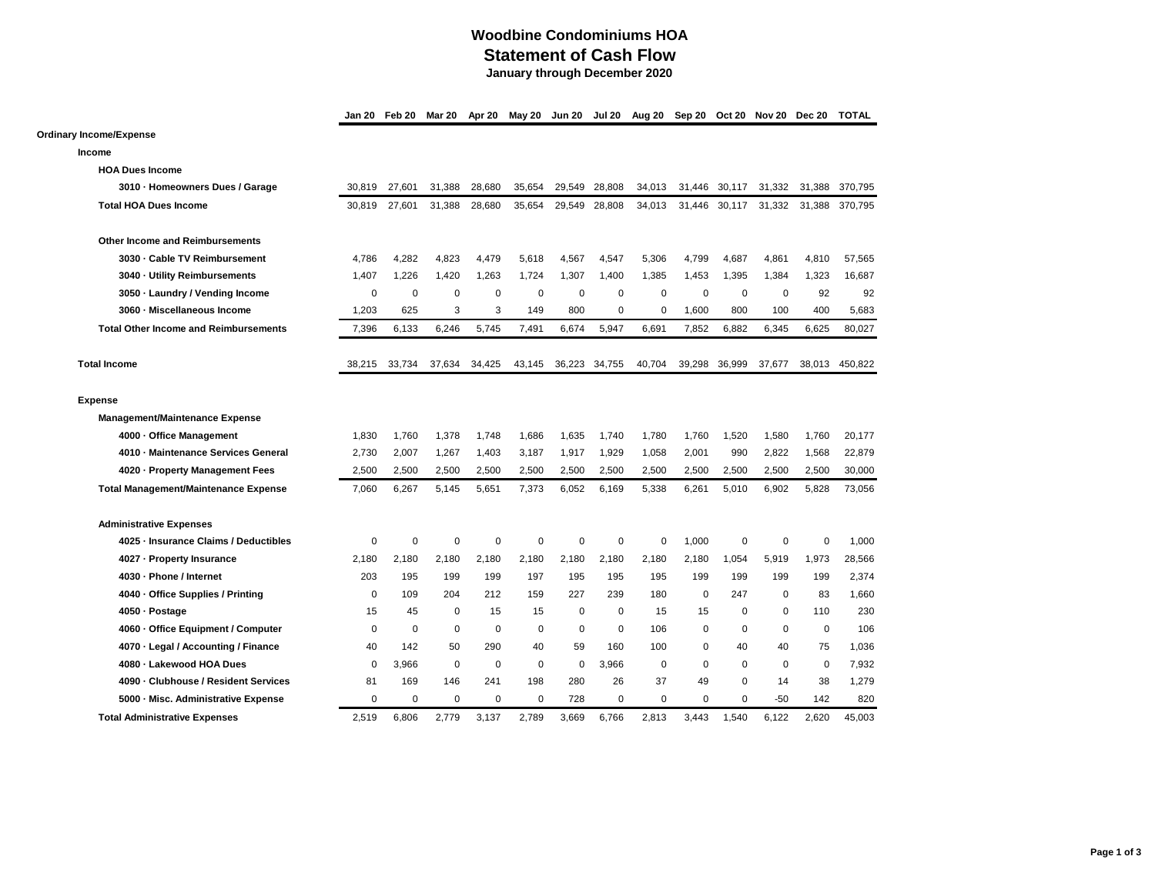## **Woodbine Condominiums HOA Statement of Cash Flow January through December 2020**

**Jan 20 Feb 20 Mar 20 Apr 20 May 20 Jun 20 Jul 20 Aug 20 Sep 20 Oct 20 Nov 20 Dec 20 TOTAL**

## **Ordinary Income/Expense**

**Income HOA Dues Income 3010 · Homeowners Dues / Garage** 30,819 27,601 31,388 28,680 35,654 29,549 28,808 34,013 31,446 30,117 31,332 31,388 370,795 **Total HOA Dues Income** 30,819 27,601 31,388 28,680 35,654 29,549 28,808 34,013 31,446 30,117 31,332 31,388 370,795 **Other Income and Reimbursements 3030 · Cable TV Reimbursement** 4,786 4,282 4,823 4,479 5,618 4,567 4,547 5,306 4,799 4,687 4,861 4,810 57,565 **3040 · Utility Reimbursements** 1,407 1,226 1,420 1,263 1,724 1,307 1,400 1,385 1,453 1,395 1,384 1,323 16,687 **3050 · Laundry / Vending Income** 0 0 0 0 0 0 0 0 0 0 0 92 92 **3060 · Miscellaneous Income** 1,203 625 3 3 149 800 0 0 1,600 800 100 400 5,683 **Total Other Income and Reimbursements** 7,396 6,133 6,246 5,745 7,491 6,674 5,947 6,691 7,852 6,882 6,345 6,625 80,027 **Total Income** 38,215 33,734 37,634 34,425 43,145 36,223 34,755 40,704 39,298 36,999 37,677 38,013 450,822 **Expense Management/Maintenance Expense 4000 · Office Management** 1,830 1,760 1,378 1,748 1,686 1,635 1,740 1,780 1,760 1,520 1,580 1,760 20,177 **4010 · Maintenance Services General** 2,730 2,007 1,267 1,403 3,187 1,917 1,929 1,058 2,001 990 2,822 1,568 22,879 **4020 · Property Management Fees** 2,500 2,500 2,500 2,500 2,500 2,500 2,500 2,500 2,500 2,500 2,500 2,500 30,000 **Total Management/Maintenance Expense** 7,060 6,267 5,145 5,651 7,373 6,052 6,169 5,338 6,261 5,010 6,902 5,828 73,056 **Administrative Expenses 4025 · Insurance Claims / Deductibles** 0 0 0 0 0 0 0 0 1,000 0 0 0 1,000 **4027 · Property Insurance** 2,180 2,180 2,180 2,180 2,180 2,180 2,180 2,180 2,180 1,054 5,919 1,973 28,566 **4030 · Phone / Internet** 203 195 199 199 197 195 195 195 199 199 199 199 2,374 **4040 · Office Supplies / Printing** 0 109 204 212 159 227 239 180 0 247 0 83 1,660 **4050 · Postage** 15 45 0 15 15 0 0 15 15 0 0 110 230 **4060 · Office Equipment / Computer** 0 0 0 0 0 0 0 106 0 0 0 0 106 **4070 · Legal / Accounting / Finance** 40 142 50 290 40 59 160 100 0 40 40 75 1,036 **4080 · Lakewood HOA Dues** 0 3,966 0 0 0 0 3,966 0 0 0 0 0 7,932 **4090 · Clubhouse / Resident Services** 81 169 146 241 198 280 26 37 49 0 14 38 1,279 **5000 · Misc. Administrative Expense** 0 0 0 0 0 728 0 0 0 0 -50 142 820 **Total Administrative Expenses** 2,519 6,806 2,779 3,137 2,789 3,669 6,766 2,813 3,443 1,540 6,122 2,620 45,003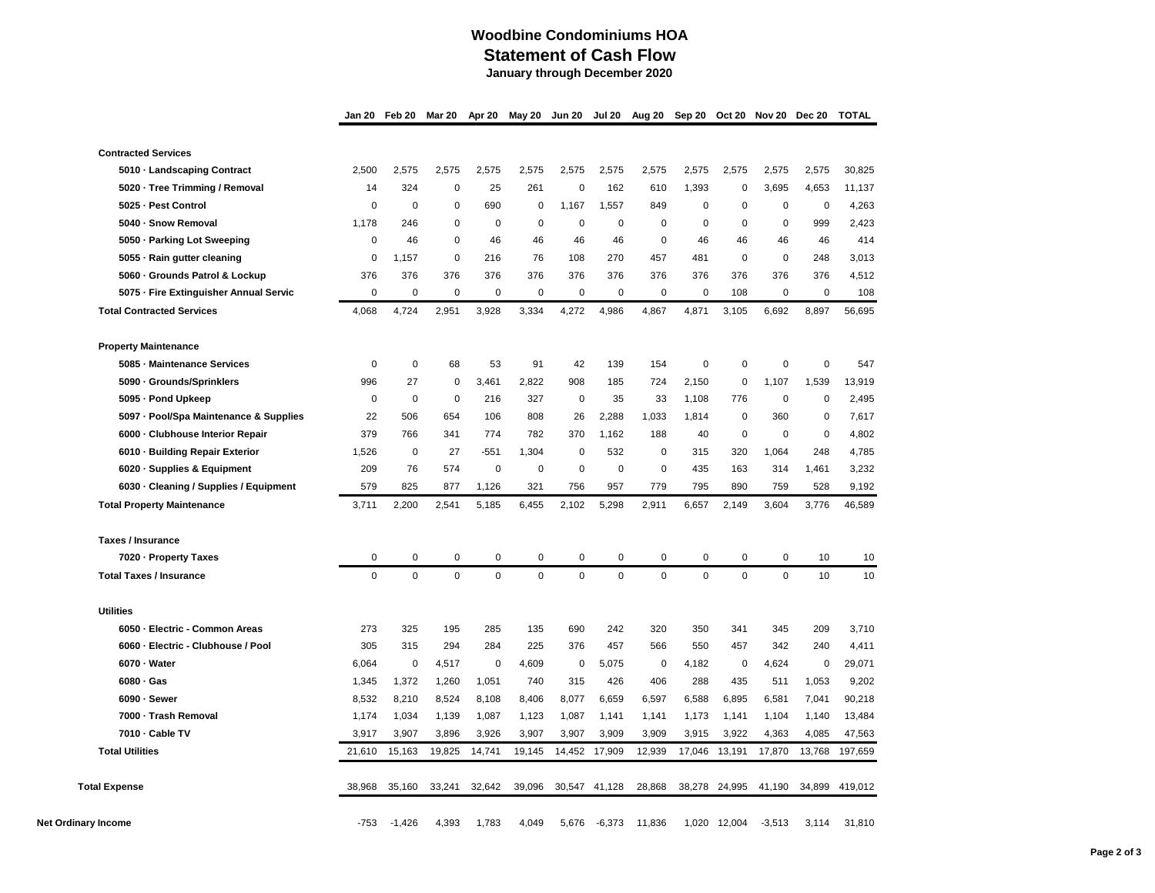## **Woodbine Condominiums HOA Statement of Cash Flow January through December 2020**

**Jan 20 Feb 20 Mar 20 Apr 20 May 20 Jun 20 Jul 20 Aug 20 Sep 20 Oct 20 Nov 20 Dec 20 TOTAL**

|                      | <b>Contracted Services</b>             |             |             |             |           |             |             |               |             |          |              |             |             |         |
|----------------------|----------------------------------------|-------------|-------------|-------------|-----------|-------------|-------------|---------------|-------------|----------|--------------|-------------|-------------|---------|
|                      | 5010 - Landscaping Contract            | 2,500       | 2,575       | 2,575       | 2,575     | 2,575       | 2,575       | 2,575         | 2,575       | 2,575    | 2,575        | 2,575       | 2,575       | 30,825  |
|                      | 5020 · Tree Trimming / Removal         | 14          | 324         | $\mathbf 0$ | 25        | 261         | $\mathbf 0$ | 162           | 610         | 1,393    | $\mathbf 0$  | 3,695       | 4,653       | 11,137  |
|                      | 5025 - Pest Control                    | $\mathbf 0$ | $\mathbf 0$ | 0           | 690       | $\mathbf 0$ | 1,167       | 1,557         | 849         | 0        | 0            | $\mathbf 0$ | $\mathbf 0$ | 4,263   |
|                      | 5040 - Snow Removal                    | 1,178       | 246         | 0           | 0         | $\mathbf 0$ | $\mathbf 0$ | $\mathbf 0$   | $\mathbf 0$ | 0        | $\mathbf 0$  | $\mathbf 0$ | 999         | 2,423   |
|                      | 5050 - Parking Lot Sweeping            | $\mathbf 0$ | 46          | 0           | 46        | 46          | 46          | 46            | $\mathbf 0$ | 46       | 46           | 46          | 46          | 414     |
|                      | 5055 - Rain gutter cleaning            | $\mathbf 0$ | 1,157       | $\mathbf 0$ | 216       | 76          | 108         | 270           | 457         | 481      | 0            | $\mathbf 0$ | 248         | 3,013   |
|                      | 5060 - Grounds Patrol & Lockup         | 376         | 376         | 376         | 376       | 376         | 376         | 376           | 376         | 376      | 376          | 376         | 376         | 4,512   |
|                      | 5075 - Fire Extinguisher Annual Servic | $\mathbf 0$ | $\mathbf 0$ | $\mathbf 0$ | 0         | $\mathbf 0$ | $\mathbf 0$ | $\mathbf 0$   | 0           | 0        | 108          | $\mathbf 0$ | $\mathbf 0$ | 108     |
|                      | <b>Total Contracted Services</b>       | 4,068       | 4,724       | 2,951       | 3,928     | 3,334       | 4,272       | 4,986         | 4,867       | 4,871    | 3,105        | 6,692       | 8,897       | 56,695  |
|                      | <b>Property Maintenance</b>            |             |             |             |           |             |             |               |             |          |              |             |             |         |
|                      | 5085 - Maintenance Services            | $\mathbf 0$ | $\mathbf 0$ | 68          | 53        | 91          | 42          | 139           | 154         | 0        | $\mathbf 0$  | $\mathbf 0$ | $\mathbf 0$ | 547     |
|                      | 5090 · Grounds/Sprinklers              | 996         | 27          | 0           | 3,461     | 2,822       | 908         | 185           | 724         | 2,150    | 0            | 1,107       | 1,539       | 13,919  |
|                      | 5095 - Pond Upkeep                     | 0           | 0           | $\mathbf 0$ | 216       | 327         | 0           | 35            | 33          | 1,108    | 776          | 0           | 0           | 2,495   |
|                      | 5097 - Pool/Spa Maintenance & Supplies | 22          | 506         | 654         | 106       | 808         | 26          | 2,288         | 1,033       | 1,814    | 0            | 360         | 0           | 7,617   |
|                      | 6000 - Clubhouse Interior Repair       | 379         | 766         | 341         | 774       | 782         | 370         | 1,162         | 188         | 40       | 0            | $\mathbf 0$ | $\mathbf 0$ | 4,802   |
|                      | 6010 - Building Repair Exterior        | 1,526       | 0           | 27          | -551      | 1,304       | $\mathbf 0$ | 532           | $\mathbf 0$ | 315      | 320          | 1,064       | 248         | 4,785   |
|                      | 6020 - Supplies & Equipment            | 209         | 76          | 574         | $\pmb{0}$ | $\mathbf 0$ | $\pmb{0}$   | $\pmb{0}$     | 0           | 435      | 163          | 314         | 1,461       | 3,232   |
|                      | 6030 - Cleaning / Supplies / Equipment | 579         | 825         | 877         | 1,126     | 321         | 756         | 957           | 779         | 795      | 890          | 759         | 528         | 9,192   |
|                      | <b>Total Property Maintenance</b>      | 3,711       | 2,200       | 2,541       | 5,185     | 6,455       | 2,102       | 5,298         | 2,911       | 6,657    | 2,149        | 3,604       | 3,776       | 46,589  |
|                      | <b>Taxes / Insurance</b>               |             |             |             |           |             |             |               |             |          |              |             |             |         |
|                      | 7020 - Property Taxes                  | $\mathbf 0$ | $\mathbf 0$ | $\mathbf 0$ | 0         | $\mathbf 0$ | $\mathbf 0$ | 0             | $\mathbf 0$ | 0        | 0            | $\mathbf 0$ | 10          | 10      |
|                      | <b>Total Taxes / Insurance</b>         | $\mathbf 0$ | $\mathbf 0$ | $\mathbf 0$ | $\Omega$  | $\mathbf 0$ | $\mathbf 0$ | $\mathbf 0$   | $\Omega$    | $\Omega$ | $\Omega$     | $\Omega$    | 10          | 10      |
|                      | <b>Utilities</b>                       |             |             |             |           |             |             |               |             |          |              |             |             |         |
|                      | 6050 - Electric - Common Areas         | 273         | 325         | 195         | 285       | 135         | 690         | 242           | 320         | 350      | 341          | 345         | 209         | 3,710   |
|                      | 6060 - Electric - Clubhouse / Pool     | 305         | 315         | 294         | 284       | 225         | 376         | 457           | 566         | 550      | 457          | 342         | 240         | 4,411   |
|                      | 6070 - Water                           | 6,064       | $\mathbf 0$ | 4,517       | 0         | 4,609       | $\mathbf 0$ | 5,075         | 0           | 4,182    | 0            | 4,624       | 0           | 29,071  |
|                      | 6080 - Gas                             | 1,345       | 1,372       | 1,260       | 1,051     | 740         | 315         | 426           | 406         | 288      | 435          | 511         | 1,053       | 9,202   |
|                      | 6090 - Sewer                           | 8,532       | 8,210       | 8,524       | 8,108     | 8,406       | 8,077       | 6,659         | 6,597       | 6,588    | 6,895        | 6,581       | 7,041       | 90,218  |
|                      | 7000 - Trash Removal                   | 1,174       | 1,034       | 1,139       | 1,087     | 1,123       | 1,087       | 1,141         | 1,141       | 1,173    | 1,141        | 1,104       | 1,140       | 13,484  |
|                      | 7010 - Cable TV                        | 3,917       | 3,907       | 3,896       | 3,926     | 3,907       | 3,907       | 3,909         | 3,909       | 3,915    | 3,922        | 4,363       | 4,085       | 47,563  |
|                      | <b>Total Utilities</b>                 | 21,610      | 15,163      | 19,825      | 14,741    | 19,145      |             | 14,452 17,909 | 12,939      | 17,046   | 13,191       | 17,870      | 13,768      | 197,659 |
| <b>Total Expense</b> |                                        | 38,968      | 35,160      | 33,241      | 32,642    | 39,096      | 30,547      | 41,128        | 28,868      | 38,278   | 24,995       | 41,190      | 34,899      | 419,012 |
|                      |                                        |             | $-1,426$    | 4,393       | 1,783     | 4,049       | 5,676       | $-6,373$      | 11,836      |          | 1,020 12,004 | $-3,513$    | 3,114       | 31,810  |
|                      | Net Ordinary Income                    |             |             |             |           |             |             |               |             |          |              |             |             |         |